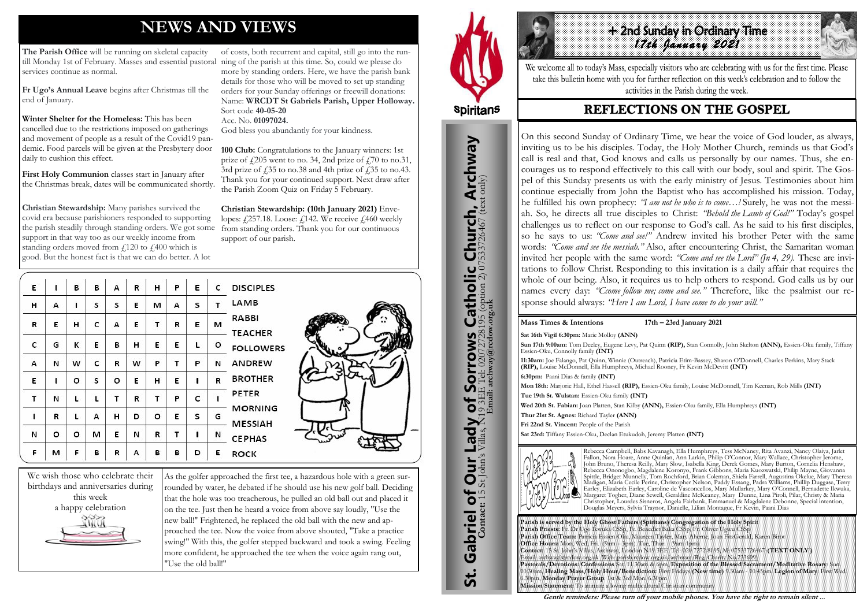# **NEWS AND VIEWS**

**The Parish Office** will be running on skeletal capacity till Monday 1st of February. Masses and essential pastoral ning of the parish at this time. So, could we please do services continue as normal.

**Fr Ugo's Annual Leave** begins after Christmas till the end of January.

**Winter Shelter for the Homeless:** This has been cancelled due to the restrictions imposed on gatherings and movement of people as a result of the Covid19 pandemic. Food parcels will be given at the Presbytery door daily to cushion this effect.

**First Holy Communion** classes start in January after the Christmas break, dates will be communicated shortly.

**Christian Stewardship:** Many parishes survived the covid era because parishioners responded to supporting the parish steadily through standing orders. We got some support in that way too as our weekly income from standing orders moved from  $\ell$ 120 to  $\ell$ 400 which is good. But the honest fact is that we can do better. A lot

of costs, both recurrent and capital, still go into the runmore by standing orders. Here, we have the parish bank details for those who will be moved to set up standing orders for your Sunday offerings or freewill donations: Name: **WRCDT St Gabriels Parish, Upper Holloway.**  Sort code **40-05-20** Acc. No. **01097024.**

God bless you abundantly for your kindness.

**100 Club:** Congratulations to the January winners: 1st prize of  $\frac{1}{205}$  went to no. 34, 2nd prize of  $\frac{1}{100}$  to no. 31, 3rd prize of  $\dot{\textit{f}}$  35 to no.38 and 4th prize of  $\dot{\textit{f}}$  35 to no.43. Thank you for your continued support. Next draw after the Parish Zoom Quiz on Friday 5 February.

**Christian Stewardship: (10th January 2021)** Envelopes:  $\angle$ 257.18. Loose:  $\angle$ 142. We receive  $\angle$ 460 weekly from standing orders. Thank you for our continuous support of our parish.

| E |   | в | в | А | R | н | P | E | c | <b>DISCIPLES</b>                 |
|---|---|---|---|---|---|---|---|---|---|----------------------------------|
| н | А | ı | S | s | E | м | А | S | т | LAMB                             |
| R | E | н | c | А | E | т | R | E | м | RABBI<br><b>TEACHER</b>          |
| c | G | к | E | в | н | E | E | г | о | <b>FOLLOWERS</b>                 |
| А | И | w | с | R | w | P | т | P | И | ANDREW                           |
| E |   | o | S | o | E | н | E | 1 | R | <b>BROTHER</b>                   |
| т | Ν | L | L | т | R |   | P | c |   | PETER                            |
| 1 | R | L | А | н | D | о | Е | S | G | <b>MORNING</b><br><b>MESSIAH</b> |
| И | о | o | м | Е | И | R | т | 1 | И | <b>CEPHAS</b>                    |
| F | м | F | В | R | А | в | в | D | E | <b>ROCK</b>                      |



As the golfer approached the first tee, a hazardous hole with a green surrounded by water, he debated if he should use his new golf ball. Deciding that the hole was too treacherous, he pulled an old ball out and placed it on the tee. Just then he heard a voice from above say loudly, "Use the new ball!" Frightened, he replaced the old ball with the new and approached the tee. Now the voice from above shouted, "Take a practice swing!" With this, the golfer stepped backward and took a swing. Feeling more confident, he approached the tee when the voice again rang out, "Use the old ball!"







We welcome all to today's Mass, especially visitors who are celebrating with us for the first time. Please take this bulletin home with you for further reflection on this week's celebration and to follow the activities in the Parish during the week.

## **REFLECTIONS ON THE GOSPEL**

#### **Mass Times & Intentions 17th – 23rd January 2021**

**Parish is served by the Holy Ghost Fathers (Spiritans) Congregation of the Holy Spirit Parish Priests:** Fr. Dr Ugo Ikwuka CSSp, Fr. Benedict Baka CSSp, Fr. Oliver Ugwu CSSp **Parish Office Team:** Patricia Essien-Oku, Maureen Tayler, Mary Aherne, Joan FitzGerald, Karen Birot **Office Hours:** Mon, Wed, Fri. -(9am – 3pm). Tue, Thur. - (9am-1pm) **Contact:** 15 St. John's Villas, Archway, London N19 3EE. Tel: 020 7272 8195, M: 07533726467-**(TEXT ONLY )** Email: archway@rcdow.org.uk Web: parish.rcdow.org.uk/archway (Reg. Charity No.233699) **Pastorals/Devotions: Confessions** Sat. 11.30am & 6pm, **Exposition of the Blessed Sacrament/Meditative Rosary**: Sun. 10.30am, **Healing Mass/Holy Hour/Benediction:** First Fridays **(New time)** 9.30am - 10.45pm. **Legion of Mary**: First Wed. 6.30pm, **Monday Prayer Group**: 1st & 3rd Mon. 6.30pm **Mission Statement:** To animate a loving multicultural Christian community **Gentle reminders: Please turn off your mobile phones. You have the right to remain silent ...** 

**Sat 16th Vigil 6:30pm:** Marie Molloy **(ANN) Sun 17th 9:00am:** Tom Deeley, Eugene Levy, Pat Quinn **(RIP),** Stan Connolly, John Skelton **(ANN),** Essien-Oku family, Tiffany Essien-Oku, Connolly family **(INT) 11:30am:** Joe Falango, Pat Quinn, Winnie (Outreach), Patricia Etim-Bassey, Sharon O'Donnell, Charles Perkins, Mary Stack **(RIP),** Louise McDonnell, Ella Humphreys, Michael Rooney, Fr Kevin McDevitt **(INT) 6:30pm:** Paani Dias & family **(INT) Mon 18th:** Marjorie Hall, Ethel Hassell **(RIP),** Essien-Oku family, Louise McDonnell, Tim Keenan, Rob Mills **(INT) Tue 19th St. Wulstan:** Essien-Oku family **(INT) Wed 20th St. Fabian:** Joan Platten, Stan Kilby **(ANN),** Essien-Oku family, Ella Humphreys **(INT) Thur 21st St. Agnes:** Richard Tayler **(ANN) Fri 22nd St. Vincent:** People of the Parish **Sat 23rd:** Tiffany Essien-Oku, Declan Etukudoh, Jeremy Platten **(INT)**



Rebecca Campbell, Babs Kavanagh, Ella Humphreys, Tess McNaney, Rita Avanzi, Nancy Olaiya, Jarlet Fallon, Nora Hoare, Anne Quinlan, Ann Larkin, Philip O'Connor, Mary Wallace, Christopher Jerome, John Bruno, Theresa Reilly, Mary Slow, Isabella King, Derek Gomes, Mary Burton, Cornelia Henshaw, Rebecca Ononogbo, Magdalene Koronyo, Frank Gibbons, Maria Kuozwatski, Philip Mayne, Giovanna Spittle, Bridget Munnelly, Tom Rochford, Brian Coleman, Shiela Farrell, Augustina Okelue, Mary Theresa Madigan, Maria Cecile Perine, Christopher Nelson, Paddy Essang, Padra Williams, Phillip Duggase, Terry Earley, Elizabeth Earley, Caroline de Vasconcellos, Mary Mullarkey, Mary O'Connell, Bernadette Ikwuka, Margaret Togher, Diane Sewell, Geraldine McKeaney, Mary Dunne, Lina Piroli, Pilar, Christy & Maria Christopher, Lourdes Sisneros, Angela Fairbank, Emmanuel & Magdalene Debonne, Special intention, Douglas Meyers, Sylvia Traynor, Danielle, Lilian Montague, Fr Kevin, Paani Dias

On this second Sunday of Ordinary Time, we hear the voice of God louder, as always, inviting us to be his disciples. Today, the Holy Mother Church, reminds us that God's call is real and that, God knows and calls us personally by our names. Thus, she encourages us to respond effectively to this call with our body, soul and spirit. The Gospel of this Sunday presents us with the early ministry of Jesus. Testimonies about him continue especially from John the Baptist who has accomplished his mission. Today, he fulfilled his own prophecy: *"I am not he who is to come…!* Surely, he was not the messiah. So, he directs all true disciples to Christ: *"Behold the Lamb of God!"* Today's gospel challenges us to reflect on our response to God's call. As he said to his first disciples, so he says to us: *"Come and see!"* Andrew invited his brother Peter with the same words: *"Come and see the messiah."* Also, after encountering Christ, the Samaritan woman invited her people with the same word: *"Come and see the Lord" (Jn 4, 29).* These are invitations to follow Christ. Responding to this invitation is a daily affair that requires the whole of our being. Also, it requires us to help others to respond. God calls us by our names every day: *"Ccome follow me; come and see."* Therefore, like the psalmist our response should always: *"Here I am Lord, I have come to do your will."*